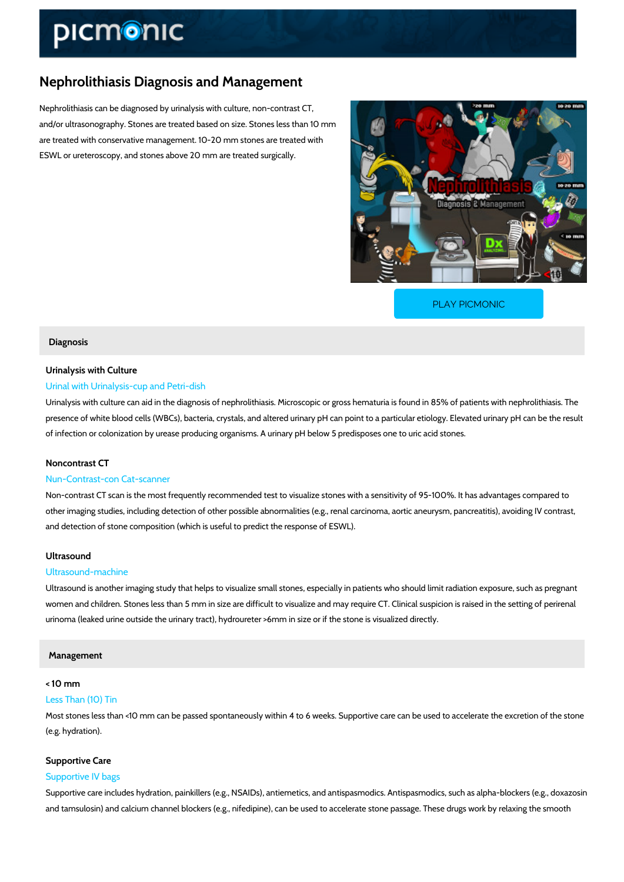# Nephrolithiasis Diagnosis and Management

Nephrolithiasis can be diagnosed by urinalysis with culture, non-contrast CT, and/or ultrasonography. Stones are treated based on size. Stones less than 10 mm are treated with conservative management. 10-20 mm stones are treated with ESWL or ureteroscopy, and stones above 20 mm are treated surgically.

[PLAY PICMONIC](https://www.picmonic.com/learn/nephrolithiasis-diagnosis-and-management_50393?utm_source=downloadable_content&utm_medium=distributedcontent&utm_campaign=pathways_pdf&utm_content=Nephrolithiasis Diagnosis and Management&utm_ad_group=leads&utm_market=all)

#### Diagnosis

# Urinalysis with Culture

### Urinal with Urinalysis-cup and Petri-dish

Urinalysis with culture can aid in the diagnosis of nephrolithiasis. Microscopic or gross hematuria in 85% of presence of white blood cells (WBCs), bacteria, crystals, and altered urinary pH can point to of infection or colonization by urease producing organisms. A urinary pH below 5 predisposes

#### Noncontrast CT

#### Nun-Contrast-con Cat-scanner

Non-contrast CT scan is the most frequently recommended test to visualize stones with a sens other imaging studies, including detection of other possible abnormalities (e.g., renal carcino and detection of stone composition (which is useful to predict the response of ESWL).

# Ultrasound

## Ultrasound-machine

Ultrasound is another imaging study that helps to visualize small stones, especially in patient women and children. Stones less than 5 mm in size are difficult to visualize and may require urinoma (leaked urine outside the urinary tract), hydroureter >6mm in size or if the stone is v

#### Management

# < 10 mm

# Less Than (10) Tin

Most stones less than <10 mm can be passed spontaneously within 4 to 6 weeks. Supportive c (e.g. hydration).

#### Supportive Care

### Supportive IV bags

Supportive care includes hydration, painkillers (e.g., NSAIDs), antiemetics, and antispasmodi and tamsulosin) and calcium channel blockers (e.g., nifedipine), can be used to accelerate st